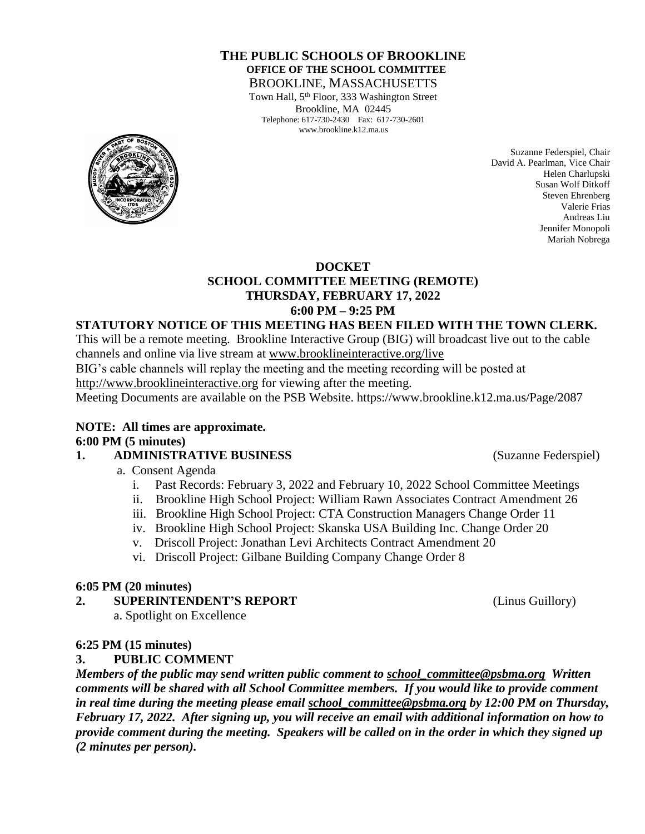#### **THE PUBLIC SCHOOLS OF BROOKLINE OFFICE OF THE SCHOOL COMMITTEE** BROOKLINE, MASSACHUSETTS

Town Hall, 5<sup>th</sup> Floor, 333 Washington Street Brookline, MA 02445 Telephone: 617-730-2430 Fax: 617-730-2601 www.brookline.k12.ma.us



Suzanne Federspiel, Chair David A. Pearlman, Vice Chair Helen Charlupski Susan Wolf Ditkoff Steven Ehrenberg Valerie Frias Andreas Liu Jennifer Monopoli Mariah Nobrega

#### **DOCKET**

### **SCHOOL COMMITTEE MEETING (REMOTE) THURSDAY, FEBRUARY 17, 2022 6:00 PM – 9:25 PM**

#### **STATUTORY NOTICE OF THIS MEETING HAS BEEN FILED WITH THE TOWN CLERK.**

This will be a remote meeting. Brookline Interactive Group (BIG) will broadcast live out to the cable channels and online via live stream at [www.brooklineinteractive.org/live](https://protect-us.mimecast.com/s/nSb0CG6Q8xuLqW1DHYBFG-?domain=brooklineinteractive.org)

BIG's cable channels will replay the meeting and the meeting recording will be posted at

[http://www.brooklineinteractive.org](https://protect-us.mimecast.com/s/ziZBCER6xvc6nngoFwrIh2?domain=brooklineinteractive.org) for viewing after the meeting.

Meeting Documents are available on the PSB Website. https://www.brookline.k12.ma.us/Page/2087

**NOTE: All times are approximate. 6:00 PM (5 minutes)**

#### **1. ADMINISTRATIVE BUSINESS** (Suzanne Federspiel)

- a. Consent Agenda
	- i. Past Records: February 3, 2022 and February 10, 2022 School Committee Meetings
	- ii. Brookline High School Project: William Rawn Associates Contract Amendment 26
	- iii. Brookline High School Project: CTA Construction Managers Change Order 11
	- iv. Brookline High School Project: Skanska USA Building Inc. Change Order 20
	- v. Driscoll Project: Jonathan Levi Architects Contract Amendment 20
	- vi. Driscoll Project: Gilbane Building Company Change Order 8

#### **6:05 PM (20 minutes)**

- **2. SUPERINTENDENT'S REPORT** (Linus Guillory)
	- a. Spotlight on Excellence

#### **6:25 PM (15 minutes)**

#### **3. PUBLIC COMMENT**

*Members of the public may send written public comment to [school\\_committee@psbma.org](mailto:school_committee@psbma.org) Written comments will be shared with all School Committee members. If you would like to provide comment in real time during the meeting please email [school\\_committee@psbma.org](mailto:school_committee@psbma.org) by 12:00 PM on Thursday, February 17, 2022. After signing up, you will receive an email with additional information on how to provide comment during the meeting. Speakers will be called on in the order in which they signed up (2 minutes per person).*